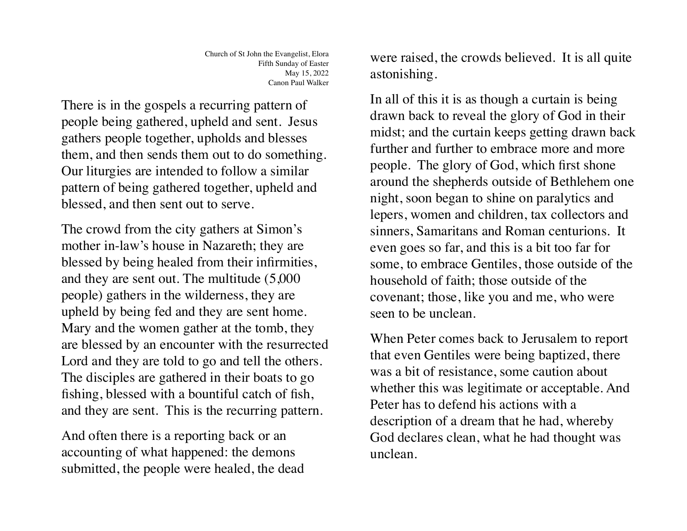There is in the gospels a recurring pattern of people being gathered, upheld and sent. Jesus gathers people together, upholds and blesses them, and then sends them out to do something. Our liturgies are intended to follow a similar pattern of being gathered together, upheld and blessed, and then sent out to serve.

The crowd from the city gathers at Simon's mother in-law's house in Nazareth; they are blessed by being healed from their infirmities, and they are sent out. The multitude (5,000 people) gathers in the wilderness, they are upheld by being fed and they are sent home. Mary and the women gather at the tomb, they are blessed by an encounter with the resurrected Lord and they are told to go and tell the others. The disciples are gathered in their boats to go fishing, blessed with a bountiful catch of fish, and they are sent. This is the recurring pattern.

And often there is a reporting back or an accounting of what happened: the demons submitted, the people were healed, the dead were raised, the crowds believed. It is all quite astonishing.

In all of this it is as though a curtain is being drawn back to reveal the glory of God in their midst; and the curtain keeps getting drawn back further and further to embrace more and more people. The glory of God, which first shone around the shepherds outside of Bethlehem one night, soon began to shine on paralytics and lepers, women and children, tax collectors and sinners, Samaritans and Roman centurions. It even goes so far, and this is a bit too far for some, to embrace Gentiles, those outside of the household of faith; those outside of the covenant; those, like you and me, who were seen to be unclean.

When Peter comes back to Jerusalem to report that even Gentiles were being baptized, there was a bit of resistance, some caution about whether this was legitimate or acceptable. And Peter has to defend his actions with a description of a dream that he had, whereby God declares clean, what he had thought was unclean.